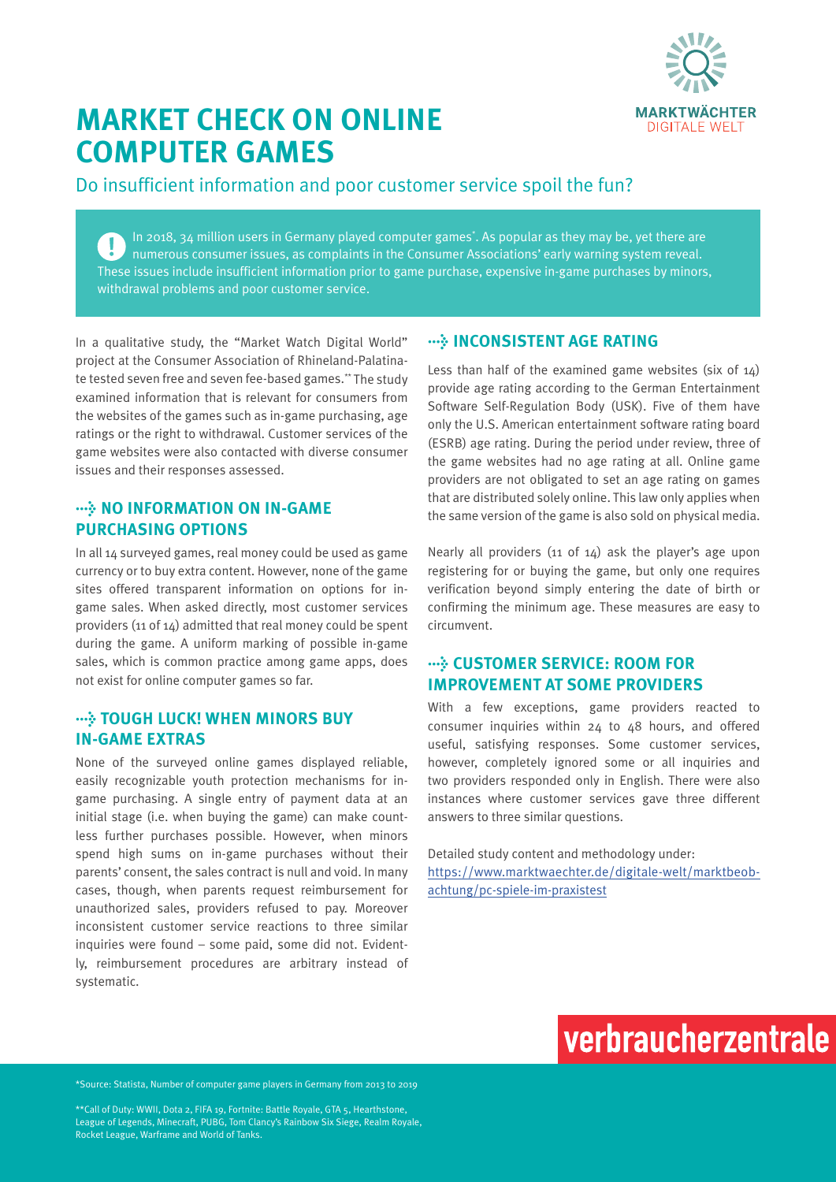

## **MARKET CHECK ON ONLINE COMPUTER GAMES**

Do insufficient information and poor customer service spoil the fun?

In 2018, 34 million users in Germany played computer games\* . As popular as they may be, yet there are  $\mathbf{L}$ numerous consumer issues, as complaints in the Consumer Associations' early warning system reveal. These issues include insufficient information prior to game purchase, expensive in-game purchases by minors, withdrawal problems and poor customer service.

In a qualitative study, the "Market Watch Digital World" project at the Consumer Association of Rhineland-Palatinate tested seven free and seven fee-based games.\*\* The study examined information that is relevant for consumers from the websites of the games such as in-game purchasing, age ratings or the right to withdrawal. Customer services of the game websites were also contacted with diverse consumer issues and their responses assessed.

#### **WE NO INFORMATION ON IN-GAME PURCHASING OPTIONS**

In all 14 surveyed games, real money could be used as game currency or to buy extra content. However, none of the game sites offered transparent information on options for ingame sales. When asked directly, most customer services providers (11 of 14) admitted that real money could be spent during the game. A uniform marking of possible in-game sales, which is common practice among game apps, does not exist for online computer games so far.

#### **> TOUGH LUCK! WHEN MINORS BUY IN-GAME EXTRAS**

None of the surveyed online games displayed reliable, easily recognizable youth protection mechanisms for ingame purchasing. A single entry of payment data at an initial stage (i.e. when buying the game) can make countless further purchases possible. However, when minors spend high sums on in-game purchases without their parents' consent, the sales contract is null and void. In many cases, though, when parents request reimbursement for unauthorized sales, providers refused to pay. Moreover inconsistent customer service reactions to three similar inquiries were found – some paid, some did not. Evidently, reimbursement procedures are arbitrary instead of systematic.

### $\cdots$  **INCONSISTENT AGE RATING**

Less than half of the examined game websites (six of  $14$ ) provide age rating according to the German Entertainment Software Self-Regulation Body (USK). Five of them have only the U.S. American entertainment software rating board (ESRB) age rating. During the period under review, three of the game websites had no age rating at all. Online game providers are not obligated to set an age rating on games that are distributed solely online. This law only applies when the same version of the game is also sold on physical media.

Nearly all providers (11 of 14) ask the player's age upon registering for or buying the game, but only one requires verification beyond simply entering the date of birth or confirming the minimum age. These measures are easy to circumvent.

#### **> CUSTOMER SERVICE: ROOM FOR IMPROVEMENT AT SOME PROVIDERS**

With a few exceptions, game providers reacted to consumer inquiries within 24 to 48 hours, and offered useful, satisfying responses. Some customer services, however, completely ignored some or all inquiries and two providers responded only in English. There were also instances where customer services gave three different answers to three similar questions.

Detailed study content and methodology under: [https://www.marktwaechter.de/digitale-welt/marktbeob](https://www.marktwaechter.de/digitale-welt/marktbeobachtung/pc-spiele-im-praxistest)[achtung/pc-spiele-im-praxistest](https://www.marktwaechter.de/digitale-welt/marktbeobachtung/pc-spiele-im-praxistest)



\*Source: Statista, Number of computer game players in Germany from 2013 to 2019

\*\*Call of Duty: WWII, Dota 2, FIFA 19, Fortnite: Battle Royale, GTA 5, Hearthstone, League of Legends, Minecraft, PUBG, Tom Clancy's Rainbow Six Siege, Realm Royale, Rocket League, Warframe and World of Tanks.